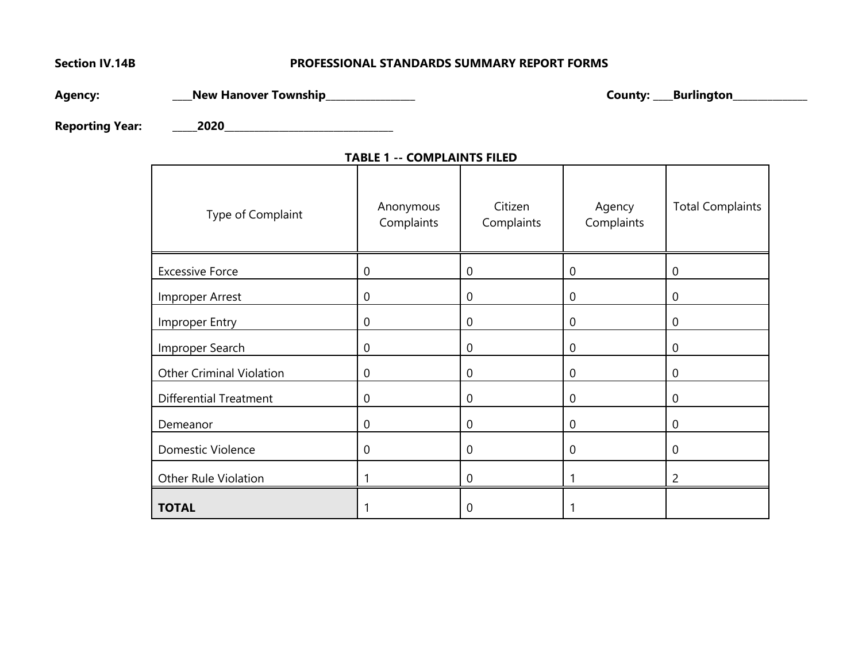# **Section IV.14B PROFESSIONAL STANDARDS SUMMARY REPORT FORMS**

**Agency: \_\_\_\_New Hanover Township\_\_\_\_\_\_\_\_\_\_\_\_\_\_\_\_\_\_ County: \_\_\_\_Burlington\_\_\_\_\_\_\_\_\_\_\_\_\_\_\_**

**Reporting Year: \_\_\_\_\_2020\_\_\_\_\_\_\_\_\_\_\_\_\_\_\_\_\_\_\_\_\_\_\_\_\_\_\_\_\_\_\_\_\_\_**

| Type of Complaint               | Anonymous<br>Complaints | Citizen<br>Complaints | Agency<br>Complaints | <b>Total Complaints</b> |
|---------------------------------|-------------------------|-----------------------|----------------------|-------------------------|
|                                 |                         |                       |                      |                         |
| <b>Excessive Force</b>          | $\overline{0}$          | $\mathbf 0$           | $\mathbf 0$          | 0                       |
| Improper Arrest                 | $\boldsymbol{0}$        | 0                     | 0                    | 0                       |
| Improper Entry                  | $\overline{0}$          | 0                     | 0                    | 0                       |
| Improper Search                 | $\mathbf 0$             | $\mathbf 0$           | $\mathbf 0$          | 0                       |
| <b>Other Criminal Violation</b> | $\mathbf 0$             | 0                     | 0                    | 0                       |
| <b>Differential Treatment</b>   | $\overline{0}$          | $\mathbf 0$           | 0                    | 0                       |
| Demeanor                        | $\mathbf 0$             | 0                     | $\mathbf 0$          | 0                       |
| <b>Domestic Violence</b>        | $\overline{0}$          | $\mathbf 0$           | $\overline{0}$       | $\mathbf 0$             |
| Other Rule Violation            |                         | $\mathbf 0$           |                      | 2                       |
| <b>TOTAL</b>                    |                         | 0                     |                      |                         |

## **TABLE 1 -- COMPLAINTS FILED**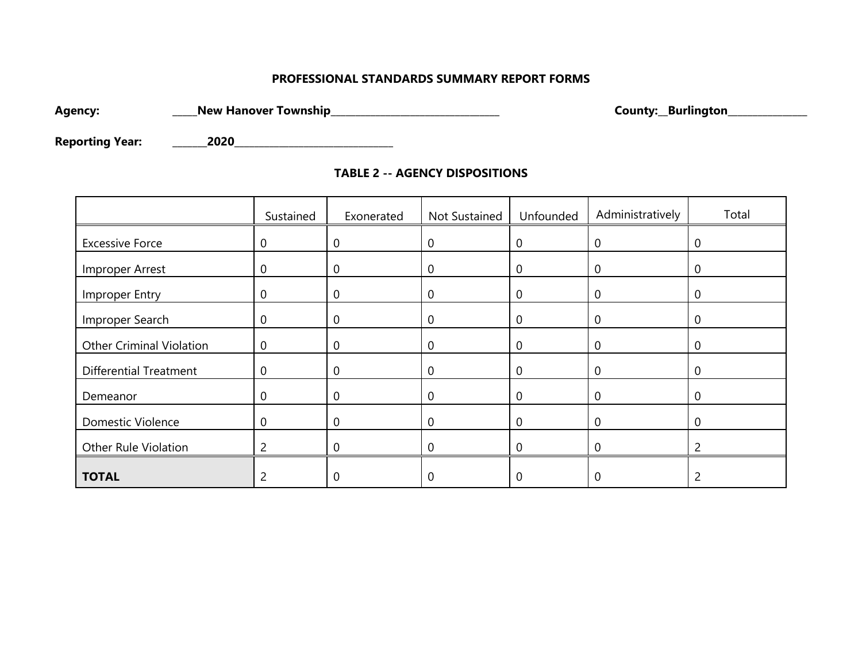# **PROFESSIONAL STANDARDS SUMMARY REPORT FORMS**

**Agency: \_\_\_\_\_New Hanover Township\_\_\_\_\_\_\_\_\_\_\_\_\_\_\_\_\_\_\_\_\_\_\_\_\_\_\_\_\_\_\_\_\_\_ County:\_\_Burlington\_\_\_\_\_\_\_\_\_\_\_\_\_\_\_\_**

**Reporting Year: \_\_\_\_\_\_\_2020\_\_\_\_\_\_\_\_\_\_\_\_\_\_\_\_\_\_\_\_\_\_\_\_\_\_\_\_\_\_\_\_**

| <b>TABLE 2 -- AGENCY DISPOSITIONS</b> |  |
|---------------------------------------|--|
|---------------------------------------|--|

|                                 | Sustained      | Exonerated     | Not Sustained | Unfounded      | Administratively | Total       |
|---------------------------------|----------------|----------------|---------------|----------------|------------------|-------------|
| <b>Excessive Force</b>          | $\mathbf 0$    | 0              | $\mathbf 0$   | $\theta$       | 0                | 0           |
| Improper Arrest                 | $\mathbf 0$    | 0              | $\mathbf 0$   | $\theta$       | $\Omega$         | $\Omega$    |
| Improper Entry                  | $\mathbf 0$    | 0              | $\mathbf 0$   | $\Omega$       | $\mathbf{0}$     | $\mathbf 0$ |
| Improper Search                 | $\overline{0}$ | 0              | 0             | 0              |                  | 0           |
| <b>Other Criminal Violation</b> | $\overline{0}$ | $\mathbf 0$    | $\mathbf 0$   | $\overline{0}$ | 0                | $\mathbf 0$ |
| <b>Differential Treatment</b>   | $\overline{0}$ | $\overline{0}$ | $\mathbf 0$   | $\Omega$       |                  | $\Omega$    |
| Demeanor                        | $\Omega$       | $\Omega$       | $\Omega$      | $\Omega$       | 0                | $\Omega$    |
| Domestic Violence               | $\overline{0}$ | 0              | 0             | $\Omega$       |                  | 0           |
| Other Rule Violation            | 2              |                |               |                |                  |             |
| <b>TOTAL</b>                    |                | $\Omega$       | $\Omega$      |                |                  |             |